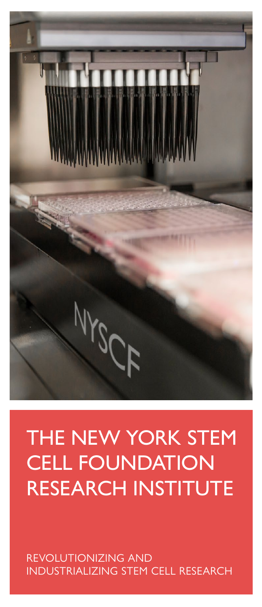

# THE NEW YORK STEM CELL FOUNDATION RESEARCH INSTITUTE

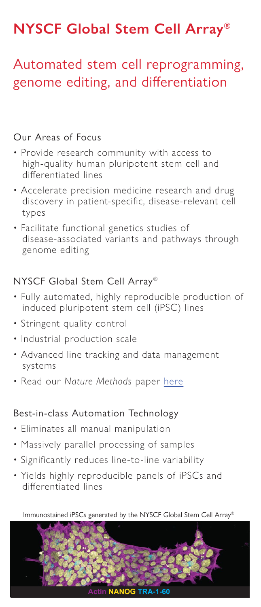## **NYSCF Global Stem Cell Array®**

### Automated stem cell reprogramming, genome editing, and differentiation

#### Our Areas of Focus

- Provide research community with access to high-quality human pluripotent stem cell and differentiated lines
- Accelerate precision medicine research and drug discovery in patient-specific, disease-relevant cell types
- Facilitate functional genetics studies of disease-associated variants and pathways through genome editing

#### NYSCF Global Stem Cell Array®

- Fully automated, highly reproducible production of induced pluripotent stem cell (iPSC) lines
- Stringent quality control
- Industrial production scale
- Advanced line tracking and data management systems
- Read our *Nature Methods* paper here

#### Best-in-class Automation Technology

- Eliminates all manual manipulation
- Massively parallel processing of samples
- Significantly reduces line-to-line variability
- Yields highly reproducible panels of iPSCs and differentiated lines

Immunostained iPSCs generated by the NYSCF Global Stem Cell Array®

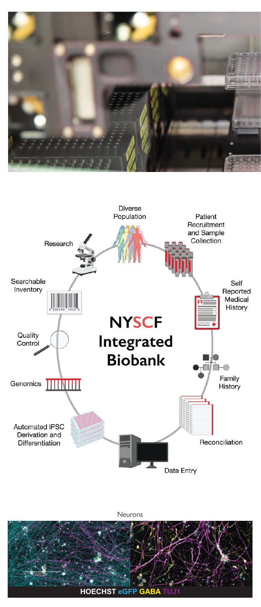



Neurons

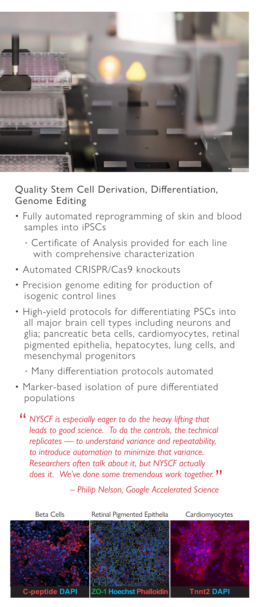

Quality Stem Cell Derivation, Differentiation, Genome Editing

- Fully automated reprogramming of skin and blood samples into iPSCs
	- Certificate of Analysis provided for each line with comprehensive characterization
- Automated CRISPR/Cas9 knockouts
- Precision genome editing for production of isogenic control lines
- High-yield protocols for differentiating PSCs into all major brain cell types including neurons and glia; pancreatic beta cells, cardiomyocytes, retinal pigmented epithelia, hepatocytes, lung cells, and mesenchymal progenitors
	- Many differentiation protocols automated
- Marker-based isolation of pure differentiated populations

*NYSCF is especially eager to do the heavy lifting that*  " *leads to good science. To do the controls, the technical replicates — to understand variance and repeatability, to introduce automation to minimize that variance. Researchers often talk about it, but NYSCF actually does it. We've done some tremendous work together.* "

*– Philip Nelson, Google Accelerated Science*

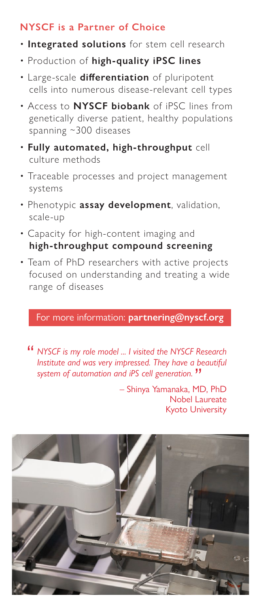#### **NYSCF is a Partner of Choice**

- **Integrated solutions** for stem cell research
- Production of **high-quality iPSC lines**
- Large-scale differentiation of pluripotent cells into numerous disease-relevant cell types
- Access to **NYSCF biobank** of iPSC lines from genetically diverse patient, healthy populations spanning ~300 diseases
- **Fully automated, high-throughput** cell culture methods
- Traceable processes and project management systems
- Phenotypic **assay development**, validation, scale-up
- Capacity for high-content imaging and **high-throughput compound screening**
- Team of PhD researchers with active projects focused on understanding and treating a wide range of diseases

#### For more information: **partnering@nyscf.org**

*NYSCF is my role model ... I visited the NYSCF Research*  " *Institute and was very impressed. They have a beautiful system of automation and iPS cell generation.* "

– Shinya Yamanaka, MD, PhD Nobel Laureate Kyoto University